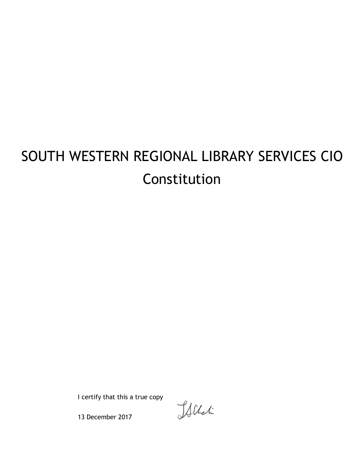# SOUTH WESTERN REGIONAL LIBRARY SERVICES CIO Constitution

I certify that this a true copy

JARK

13 December 2017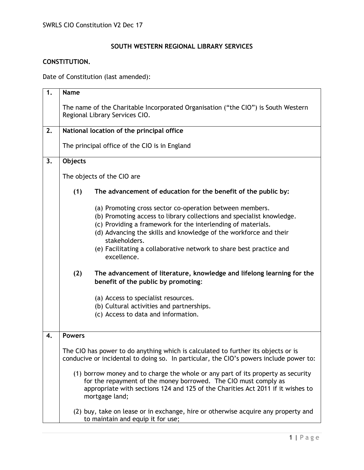# **SOUTH WESTERN REGIONAL LIBRARY SERVICES**

# **CONSTITUTION.**

Date of Constitution (last amended):

| 1. | Name          |                                                                                                                                                                                                                                                                                                                                                                                                                                                                                                |
|----|---------------|------------------------------------------------------------------------------------------------------------------------------------------------------------------------------------------------------------------------------------------------------------------------------------------------------------------------------------------------------------------------------------------------------------------------------------------------------------------------------------------------|
|    |               | The name of the Charitable Incorporated Organisation ("the CIO") is South Western<br>Regional Library Services CIO.                                                                                                                                                                                                                                                                                                                                                                            |
| 2. |               | National location of the principal office                                                                                                                                                                                                                                                                                                                                                                                                                                                      |
|    |               | The principal office of the CIO is in England                                                                                                                                                                                                                                                                                                                                                                                                                                                  |
| 3. | Objects       |                                                                                                                                                                                                                                                                                                                                                                                                                                                                                                |
|    |               | The objects of the CIO are                                                                                                                                                                                                                                                                                                                                                                                                                                                                     |
|    | (1)           | The advancement of education for the benefit of the public by:                                                                                                                                                                                                                                                                                                                                                                                                                                 |
|    | (2)           | (a) Promoting cross sector co-operation between members.<br>(b) Promoting access to library collections and specialist knowledge.<br>(c) Providing a framework for the interlending of materials.<br>(d) Advancing the skills and knowledge of the workforce and their<br>stakeholders.<br>(e) Facilitating a collaborative network to share best practice and<br>excellence.<br>The advancement of literature, knowledge and lifelong learning for the<br>benefit of the public by promoting: |
|    |               | (a) Access to specialist resources.<br>(b) Cultural activities and partnerships.<br>(c) Access to data and information.                                                                                                                                                                                                                                                                                                                                                                        |
| 4. | <b>Powers</b> |                                                                                                                                                                                                                                                                                                                                                                                                                                                                                                |
|    |               | The CIO has power to do anything which is calculated to further its objects or is<br>conducive or incidental to doing so. In particular, the CIO's powers include power to:                                                                                                                                                                                                                                                                                                                    |
|    |               | (1) borrow money and to charge the whole or any part of its property as security<br>for the repayment of the money borrowed. The CIO must comply as<br>appropriate with sections 124 and 125 of the Charities Act 2011 if it wishes to<br>mortgage land;                                                                                                                                                                                                                                       |
|    |               | (2) buy, take on lease or in exchange, hire or otherwise acquire any property and<br>to maintain and equip it for use;                                                                                                                                                                                                                                                                                                                                                                         |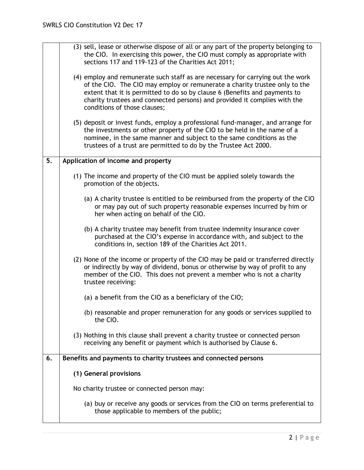|    | (3) sell, lease or otherwise dispose of all or any part of the property belonging to<br>the CIO. In exercising this power, the CIO must comply as appropriate with<br>sections 117 and 119-123 of the Charities Act 2011;<br>(4) employ and remunerate such staff as are necessary for carrying out the work<br>of the CIO. The CIO may employ or remunerate a charity trustee only to the<br>extent that it is permitted to do so by clause 6 (Benefits and payments to<br>charity trustees and connected persons) and provided it complies with the<br>conditions of those clauses;<br>(5) deposit or invest funds, employ a professional fund-manager, and arrange for |
|----|---------------------------------------------------------------------------------------------------------------------------------------------------------------------------------------------------------------------------------------------------------------------------------------------------------------------------------------------------------------------------------------------------------------------------------------------------------------------------------------------------------------------------------------------------------------------------------------------------------------------------------------------------------------------------|
|    | the investments or other property of the CIO to be held in the name of a<br>nominee, in the same manner and subject to the same conditions as the<br>trustees of a trust are permitted to do by the Trustee Act 2000.                                                                                                                                                                                                                                                                                                                                                                                                                                                     |
| 5. | Application of income and property                                                                                                                                                                                                                                                                                                                                                                                                                                                                                                                                                                                                                                        |
|    | (1) The income and property of the CIO must be applied solely towards the<br>promotion of the objects.                                                                                                                                                                                                                                                                                                                                                                                                                                                                                                                                                                    |
|    | (a) A charity trustee is entitled to be reimbursed from the property of the CIO<br>or may pay out of such property reasonable expenses incurred by him or<br>her when acting on behalf of the CIO.                                                                                                                                                                                                                                                                                                                                                                                                                                                                        |
|    | (b) A charity trustee may benefit from trustee indemnity insurance cover<br>purchased at the CIO's expense in accordance with, and subject to the<br>conditions in, section 189 of the Charities Act 2011.                                                                                                                                                                                                                                                                                                                                                                                                                                                                |
|    | (2) None of the income or property of the CIO may be paid or transferred directly<br>or indirectly by way of dividend, bonus or otherwise by way of profit to any<br>member of the CIO. This does not prevent a member who is not a charity<br>trustee receiving:                                                                                                                                                                                                                                                                                                                                                                                                         |
|    | (a) a benefit from the CIO as a beneficiary of the CIO;                                                                                                                                                                                                                                                                                                                                                                                                                                                                                                                                                                                                                   |
|    | (b) reasonable and proper remuneration for any goods or services supplied to<br>the CIO.                                                                                                                                                                                                                                                                                                                                                                                                                                                                                                                                                                                  |
|    | (3) Nothing in this clause shall prevent a charity trustee or connected person<br>receiving any benefit or payment which is authorised by Clause 6.                                                                                                                                                                                                                                                                                                                                                                                                                                                                                                                       |
| 6. | Benefits and payments to charity trustees and connected persons                                                                                                                                                                                                                                                                                                                                                                                                                                                                                                                                                                                                           |
|    | (1) General provisions                                                                                                                                                                                                                                                                                                                                                                                                                                                                                                                                                                                                                                                    |
|    | No charity trustee or connected person may:                                                                                                                                                                                                                                                                                                                                                                                                                                                                                                                                                                                                                               |
|    | (a) buy or receive any goods or services from the CIO on terms preferential to<br>those applicable to members of the public;                                                                                                                                                                                                                                                                                                                                                                                                                                                                                                                                              |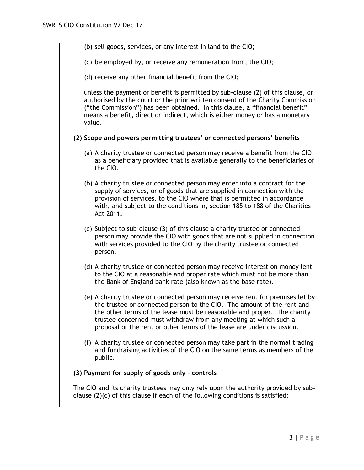|        | (b) sell goods, services, or any interest in land to the CIO;                                                                                                                                                                                                                                                                                                                     |
|--------|-----------------------------------------------------------------------------------------------------------------------------------------------------------------------------------------------------------------------------------------------------------------------------------------------------------------------------------------------------------------------------------|
|        | (c) be employed by, or receive any remuneration from, the CIO;                                                                                                                                                                                                                                                                                                                    |
|        | (d) receive any other financial benefit from the CIO;                                                                                                                                                                                                                                                                                                                             |
| value. | unless the payment or benefit is permitted by sub-clause (2) of this clause, or<br>authorised by the court or the prior written consent of the Charity Commission<br>("the Commission") has been obtained. In this clause, a "financial benefit"<br>means a benefit, direct or indirect, which is either money or has a monetary                                                  |
|        | (2) Scope and powers permitting trustees' or connected persons' benefits                                                                                                                                                                                                                                                                                                          |
|        | (a) A charity trustee or connected person may receive a benefit from the CIO<br>as a beneficiary provided that is available generally to the beneficiaries of<br>the CIO.                                                                                                                                                                                                         |
|        | (b) A charity trustee or connected person may enter into a contract for the<br>supply of services, or of goods that are supplied in connection with the<br>provision of services, to the CIO where that is permitted in accordance<br>with, and subject to the conditions in, section 185 to 188 of the Charities<br>Act 2011.                                                    |
|        | (c) Subject to sub-clause (3) of this clause a charity trustee or connected<br>person may provide the CIO with goods that are not supplied in connection<br>with services provided to the CIO by the charity trustee or connected<br>person.                                                                                                                                      |
|        | (d) A charity trustee or connected person may receive interest on money lent<br>to the CIO at a reasonable and proper rate which must not be more than<br>the Bank of England bank rate (also known as the base rate).                                                                                                                                                            |
|        | (e) A charity trustee or connected person may receive rent for premises let by<br>the trustee or connected person to the CIO. The amount of the rent and<br>the other terms of the lease must be reasonable and proper. The charity<br>trustee concerned must withdraw from any meeting at which such a<br>proposal or the rent or other terms of the lease are under discussion. |
|        | (f) A charity trustee or connected person may take part in the normal trading<br>and fundraising activities of the CIO on the same terms as members of the<br>public.                                                                                                                                                                                                             |
|        | (3) Payment for supply of goods only - controls                                                                                                                                                                                                                                                                                                                                   |
|        | The CIO and its charity trustees may only rely upon the authority provided by sub-<br>clause $(2)(c)$ of this clause if each of the following conditions is satisfied:                                                                                                                                                                                                            |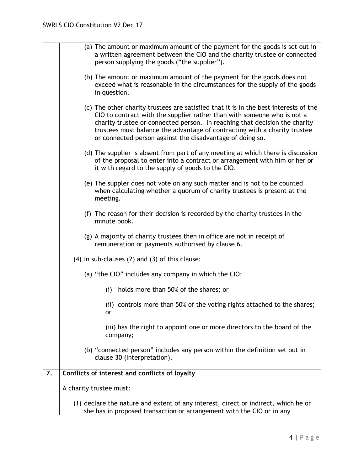|    | (a) The amount or maximum amount of the payment for the goods is set out in<br>a written agreement between the CIO and the charity trustee or connected<br>person supplying the goods ("the supplier").                                                                                                                                                                                 |
|----|-----------------------------------------------------------------------------------------------------------------------------------------------------------------------------------------------------------------------------------------------------------------------------------------------------------------------------------------------------------------------------------------|
|    | (b) The amount or maximum amount of the payment for the goods does not<br>exceed what is reasonable in the circumstances for the supply of the goods<br>in question.                                                                                                                                                                                                                    |
|    | (c) The other charity trustees are satisfied that it is in the best interests of the<br>CIO to contract with the supplier rather than with someone who is not a<br>charity trustee or connected person. In reaching that decision the charity<br>trustees must balance the advantage of contracting with a charity trustee<br>or connected person against the disadvantage of doing so. |
|    | (d) The supplier is absent from part of any meeting at which there is discussion<br>of the proposal to enter into a contract or arrangement with him or her or<br>it with regard to the supply of goods to the CIO.                                                                                                                                                                     |
|    | (e) The suppler does not vote on any such matter and is not to be counted<br>when calculating whether a quorum of charity trustees is present at the<br>meeting.                                                                                                                                                                                                                        |
|    | (f) The reason for their decision is recorded by the charity trustees in the<br>minute book.                                                                                                                                                                                                                                                                                            |
|    | (g) A majority of charity trustees then in office are not in receipt of<br>remuneration or payments authorised by clause 6.                                                                                                                                                                                                                                                             |
|    | $(4)$ In sub-clauses $(2)$ and $(3)$ of this clause:                                                                                                                                                                                                                                                                                                                                    |
|    | (a) "the CIO" includes any company in which the CIO:                                                                                                                                                                                                                                                                                                                                    |
|    | holds more than 50% of the shares; or<br>(i)                                                                                                                                                                                                                                                                                                                                            |
|    | (ii) controls more than 50% of the voting rights attached to the shares;<br>or                                                                                                                                                                                                                                                                                                          |
|    | (iii) has the right to appoint one or more directors to the board of the<br>company;                                                                                                                                                                                                                                                                                                    |
|    | (b) "connected person" includes any person within the definition set out in<br>clause 30 (Interpretation).                                                                                                                                                                                                                                                                              |
| 7. | Conflicts of interest and conflicts of loyalty                                                                                                                                                                                                                                                                                                                                          |
|    | A charity trustee must:                                                                                                                                                                                                                                                                                                                                                                 |
|    | (1) declare the nature and extent of any interest, direct or indirect, which he or<br>she has in proposed transaction or arrangement with the CIO or in any                                                                                                                                                                                                                             |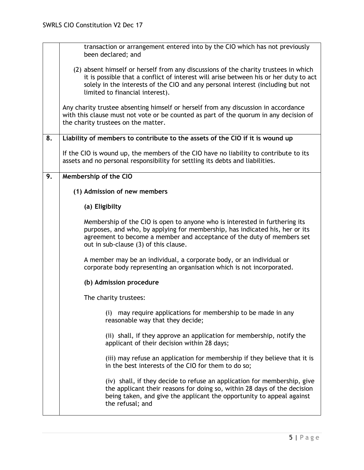|    | transaction or arrangement entered into by the CIO which has not previously<br>been declared; and                                                                                                                                                                                                 |
|----|---------------------------------------------------------------------------------------------------------------------------------------------------------------------------------------------------------------------------------------------------------------------------------------------------|
|    | (2) absent himself or herself from any discussions of the charity trustees in which<br>it is possible that a conflict of interest will arise between his or her duty to act<br>solely in the interests of the CIO and any personal interest (including but not<br>limited to financial interest). |
|    | Any charity trustee absenting himself or herself from any discussion in accordance<br>with this clause must not vote or be counted as part of the quorum in any decision of<br>the charity trustees on the matter.                                                                                |
| 8. | Liability of members to contribute to the assets of the CIO if it is wound up                                                                                                                                                                                                                     |
|    | If the CIO is wound up, the members of the CIO have no liability to contribute to its<br>assets and no personal responsibility for settling its debts and liabilities.                                                                                                                            |
| 9. | Membership of the CIO                                                                                                                                                                                                                                                                             |
|    | (1) Admission of new members                                                                                                                                                                                                                                                                      |
|    | (a) Eligibilty                                                                                                                                                                                                                                                                                    |
|    | Membership of the CIO is open to anyone who is interested in furthering its<br>purposes, and who, by applying for membership, has indicated his, her or its<br>agreement to become a member and acceptance of the duty of members set<br>out in sub-clause (3) of this clause.                    |
|    | A member may be an individual, a corporate body, or an individual or<br>corporate body representing an organisation which is not incorporated.                                                                                                                                                    |
|    | (b) Admission procedure                                                                                                                                                                                                                                                                           |
|    | The charity trustees:                                                                                                                                                                                                                                                                             |
|    | may require applications for membership to be made in any<br>(i)<br>reasonable way that they decide;                                                                                                                                                                                              |
|    | (ii) shall, if they approve an application for membership, notify the<br>applicant of their decision within 28 days;                                                                                                                                                                              |
|    | (iii) may refuse an application for membership if they believe that it is<br>in the best interests of the CIO for them to do so;                                                                                                                                                                  |
|    | (iv) shall, if they decide to refuse an application for membership, give<br>the applicant their reasons for doing so, within 28 days of the decision<br>being taken, and give the applicant the opportunity to appeal against<br>the refusal; and                                                 |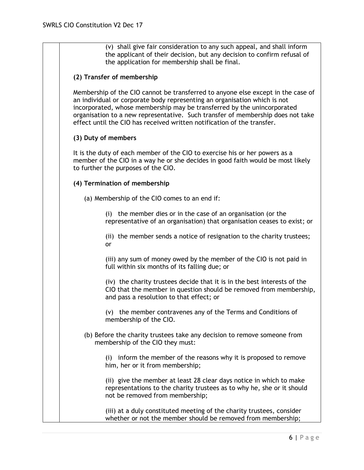(v) shall give fair consideration to any such appeal, and shall inform the applicant of their decision, but any decision to confirm refusal of the application for membership shall be final.

#### **(2) Transfer of membership**

Membership of the CIO cannot be transferred to anyone else except in the case of an individual or corporate body representing an organisation which is not incorporated, whose membership may be transferred by the unincorporated organisation to a new representative. Such transfer of membership does not take effect until the CIO has received written notification of the transfer.

#### **(3) Duty of members**

It is the duty of each member of the CIO to exercise his or her powers as a member of the CIO in a way he or she decides in good faith would be most likely to further the purposes of the CIO.

## **(4) Termination of membership**

(a) Membership of the CIO comes to an end if:

(i) the member dies or in the case of an organisation (or the representative of an organisation) that organisation ceases to exist; or

(ii) the member sends a notice of resignation to the charity trustees; or

(iii) any sum of money owed by the member of the CIO is not paid in full within six months of its falling due; or

(iv) the charity trustees decide that it is in the best interests of the CIO that the member in question should be removed from membership, and pass a resolution to that effect; or

(v) the member contravenes any of the Terms and Conditions of membership of the CIO.

(b) Before the charity trustees take any decision to remove someone from membership of the CIO they must:

> (i) inform the member of the reasons why it is proposed to remove him, her or it from membership;

> (ii) give the member at least 28 clear days notice in which to make representations to the charity trustees as to why he, she or it should not be removed from membership;

(iii) at a duly constituted meeting of the charity trustees, consider whether or not the member should be removed from membership;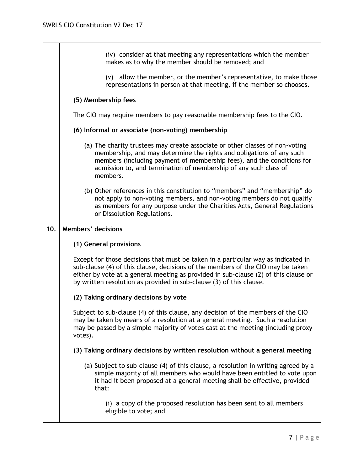|     | (iv) consider at that meeting any representations which the member<br>makes as to why the member should be removed; and                                                                                                                                                                                                            |
|-----|------------------------------------------------------------------------------------------------------------------------------------------------------------------------------------------------------------------------------------------------------------------------------------------------------------------------------------|
|     | (v) allow the member, or the member's representative, to make those<br>representations in person at that meeting, if the member so chooses.                                                                                                                                                                                        |
|     | (5) Membership fees                                                                                                                                                                                                                                                                                                                |
|     | The CIO may require members to pay reasonable membership fees to the CIO.                                                                                                                                                                                                                                                          |
|     | (6) Informal or associate (non-voting) membership                                                                                                                                                                                                                                                                                  |
|     | (a) The charity trustees may create associate or other classes of non-voting<br>membership, and may determine the rights and obligations of any such<br>members (including payment of membership fees), and the conditions for<br>admission to, and termination of membership of any such class of<br>members.                     |
|     | (b) Other references in this constitution to "members" and "membership" do<br>not apply to non-voting members, and non-voting members do not qualify<br>as members for any purpose under the Charities Acts, General Regulations<br>or Dissolution Regulations.                                                                    |
| 10. | Members' decisions                                                                                                                                                                                                                                                                                                                 |
|     | (1) General provisions                                                                                                                                                                                                                                                                                                             |
|     | Except for those decisions that must be taken in a particular way as indicated in<br>sub-clause (4) of this clause, decisions of the members of the CIO may be taken<br>either by vote at a general meeting as provided in sub-clause (2) of this clause or<br>by written resolution as provided in sub-clause (3) of this clause. |
|     | (2) Taking ordinary decisions by vote                                                                                                                                                                                                                                                                                              |
|     |                                                                                                                                                                                                                                                                                                                                    |
|     | Subject to sub-clause (4) of this clause, any decision of the members of the CIO<br>may be taken by means of a resolution at a general meeting. Such a resolution<br>may be passed by a simple majority of votes cast at the meeting (including proxy<br>votes).                                                                   |
|     | (3) Taking ordinary decisions by written resolution without a general meeting                                                                                                                                                                                                                                                      |
|     | (a) Subject to sub-clause (4) of this clause, a resolution in writing agreed by a<br>simple majority of all members who would have been entitled to vote upon<br>it had it been proposed at a general meeting shall be effective, provided<br>that:                                                                                |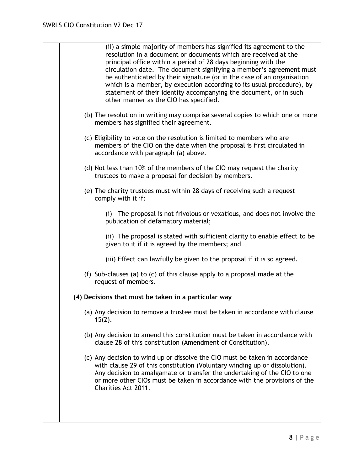| (ii) a simple majority of members has signified its agreement to the<br>resolution in a document or documents which are received at the<br>principal office within a period of 28 days beginning with the                                                                                                                                 |
|-------------------------------------------------------------------------------------------------------------------------------------------------------------------------------------------------------------------------------------------------------------------------------------------------------------------------------------------|
| circulation date. The document signifying a member's agreement must<br>be authenticated by their signature (or in the case of an organisation                                                                                                                                                                                             |
| which is a member, by execution according to its usual procedure), by<br>statement of their identity accompanying the document, or in such<br>other manner as the CIO has specified.                                                                                                                                                      |
| (b) The resolution in writing may comprise several copies to which one or more<br>members has signified their agreement.                                                                                                                                                                                                                  |
| (c) Eligibility to vote on the resolution is limited to members who are<br>members of the CIO on the date when the proposal is first circulated in<br>accordance with paragraph (a) above.                                                                                                                                                |
| (d) Not less than 10% of the members of the CIO may request the charity<br>trustees to make a proposal for decision by members.                                                                                                                                                                                                           |
| (e) The charity trustees must within 28 days of receiving such a request<br>comply with it if:                                                                                                                                                                                                                                            |
| (i) The proposal is not frivolous or vexatious, and does not involve the<br>publication of defamatory material;                                                                                                                                                                                                                           |
| (ii) The proposal is stated with sufficient clarity to enable effect to be<br>given to it if it is agreed by the members; and                                                                                                                                                                                                             |
| (iii) Effect can lawfully be given to the proposal if it is so agreed.                                                                                                                                                                                                                                                                    |
| (f) Sub-clauses (a) to (c) of this clause apply to a proposal made at the<br>request of members.                                                                                                                                                                                                                                          |
| (4) Decisions that must be taken in a particular way                                                                                                                                                                                                                                                                                      |
| (a) Any decision to remove a trustee must be taken in accordance with clause<br>$15(2)$ .                                                                                                                                                                                                                                                 |
| (b) Any decision to amend this constitution must be taken in accordance with<br>clause 28 of this constitution (Amendment of Constitution).                                                                                                                                                                                               |
| (c) Any decision to wind up or dissolve the CIO must be taken in accordance<br>with clause 29 of this constitution (Voluntary winding up or dissolution).<br>Any decision to amalgamate or transfer the undertaking of the CIO to one<br>or more other CIOs must be taken in accordance with the provisions of the<br>Charities Act 2011. |
|                                                                                                                                                                                                                                                                                                                                           |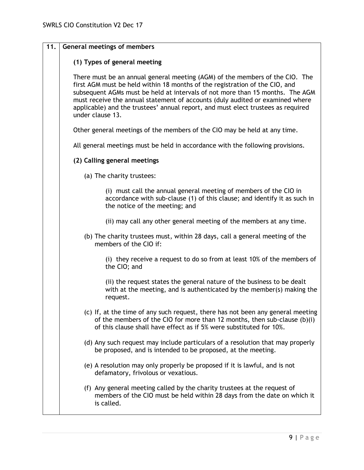| 11. | <b>General meetings of members</b>                                                                                                                                                                                                                                                                                                                                                                                                    |
|-----|---------------------------------------------------------------------------------------------------------------------------------------------------------------------------------------------------------------------------------------------------------------------------------------------------------------------------------------------------------------------------------------------------------------------------------------|
|     | (1) Types of general meeting                                                                                                                                                                                                                                                                                                                                                                                                          |
|     | There must be an annual general meeting (AGM) of the members of the CIO. The<br>first AGM must be held within 18 months of the registration of the CIO, and<br>subsequent AGMs must be held at intervals of not more than 15 months. The AGM<br>must receive the annual statement of accounts (duly audited or examined where<br>applicable) and the trustees' annual report, and must elect trustees as required<br>under clause 13. |
|     | Other general meetings of the members of the CIO may be held at any time.                                                                                                                                                                                                                                                                                                                                                             |
|     | All general meetings must be held in accordance with the following provisions.                                                                                                                                                                                                                                                                                                                                                        |
|     | (2) Calling general meetings                                                                                                                                                                                                                                                                                                                                                                                                          |
|     | (a) The charity trustees:                                                                                                                                                                                                                                                                                                                                                                                                             |
|     | (i) must call the annual general meeting of members of the CIO in<br>accordance with sub-clause (1) of this clause; and identify it as such in<br>the notice of the meeting; and                                                                                                                                                                                                                                                      |
|     | (ii) may call any other general meeting of the members at any time.                                                                                                                                                                                                                                                                                                                                                                   |
|     | (b) The charity trustees must, within 28 days, call a general meeting of the<br>members of the CIO if:                                                                                                                                                                                                                                                                                                                                |
|     | (i) they receive a request to do so from at least 10% of the members of<br>the CIO; and                                                                                                                                                                                                                                                                                                                                               |
|     | (ii) the request states the general nature of the business to be dealt<br>with at the meeting, and is authenticated by the member(s) making the<br>request.                                                                                                                                                                                                                                                                           |
|     | (c) If, at the time of any such request, there has not been any general meeting<br>of the members of the CIO for more than 12 months, then sub-clause (b)(i)<br>of this clause shall have effect as if 5% were substituted for 10%.                                                                                                                                                                                                   |
|     | (d) Any such request may include particulars of a resolution that may properly<br>be proposed, and is intended to be proposed, at the meeting.                                                                                                                                                                                                                                                                                        |
|     | (e) A resolution may only properly be proposed if it is lawful, and is not<br>defamatory, frivolous or vexatious.                                                                                                                                                                                                                                                                                                                     |
|     | (f) Any general meeting called by the charity trustees at the request of<br>members of the CIO must be held within 28 days from the date on which it<br>is called.                                                                                                                                                                                                                                                                    |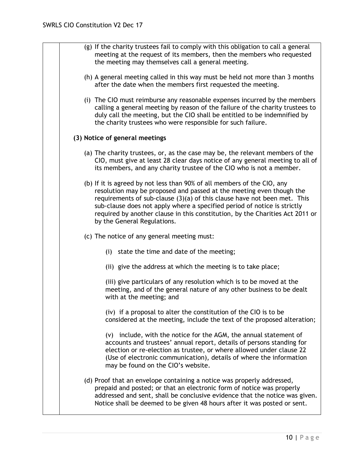| (g) If the charity trustees fail to comply with this obligation to call a general<br>meeting at the request of its members, then the members who requested<br>the meeting may themselves call a general meeting.                                                                                                                                                                                                        |
|-------------------------------------------------------------------------------------------------------------------------------------------------------------------------------------------------------------------------------------------------------------------------------------------------------------------------------------------------------------------------------------------------------------------------|
| (h) A general meeting called in this way must be held not more than 3 months<br>after the date when the members first requested the meeting.                                                                                                                                                                                                                                                                            |
| (i) The CIO must reimburse any reasonable expenses incurred by the members<br>calling a general meeting by reason of the failure of the charity trustees to<br>duly call the meeting, but the CIO shall be entitled to be indemnified by<br>the charity trustees who were responsible for such failure.                                                                                                                 |
| (3) Notice of general meetings                                                                                                                                                                                                                                                                                                                                                                                          |
| (a) The charity trustees, or, as the case may be, the relevant members of the<br>CIO, must give at least 28 clear days notice of any general meeting to all of<br>its members, and any charity trustee of the CIO who is not a member.                                                                                                                                                                                  |
| (b) If it is agreed by not less than 90% of all members of the CIO, any<br>resolution may be proposed and passed at the meeting even though the<br>requirements of sub-clause (3)(a) of this clause have not been met. This<br>sub-clause does not apply where a specified period of notice is strictly<br>required by another clause in this constitution, by the Charities Act 2011 or<br>by the General Regulations. |
| (c) The notice of any general meeting must:                                                                                                                                                                                                                                                                                                                                                                             |
| (i) state the time and date of the meeting;                                                                                                                                                                                                                                                                                                                                                                             |
| (ii) give the address at which the meeting is to take place;                                                                                                                                                                                                                                                                                                                                                            |
| (iii) give particulars of any resolution which is to be moved at the<br>meeting, and of the general nature of any other business to be dealt<br>with at the meeting; and                                                                                                                                                                                                                                                |
| (iv) if a proposal to alter the constitution of the CIO is to be<br>considered at the meeting, include the text of the proposed alteration;                                                                                                                                                                                                                                                                             |
| (v) include, with the notice for the AGM, the annual statement of<br>accounts and trustees' annual report, details of persons standing for<br>election or re-election as trustee, or where allowed under clause 22<br>(Use of electronic communication), details of where the information<br>may be found on the CIO's website.                                                                                         |
| (d) Proof that an envelope containing a notice was properly addressed,<br>prepaid and posted; or that an electronic form of notice was properly<br>addressed and sent, shall be conclusive evidence that the notice was given.<br>Notice shall be deemed to be given 48 hours after it was posted or sent.                                                                                                              |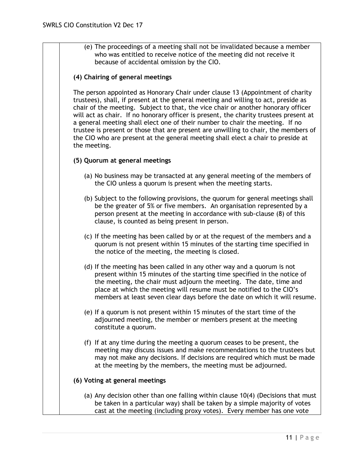(e) The proceedings of a meeting shall not be invalidated because a member who was entitled to receive notice of the meeting did not receive it because of accidental omission by the CIO.

# **(4) Chairing of general meetings**

The person appointed as Honorary Chair under clause 13 (Appointment of charity trustees), shall, if present at the general meeting and willing to act, preside as chair of the meeting. Subject to that, the vice chair or another honorary officer will act as chair. If no honorary officer is present, the charity trustees present at a general meeting shall elect one of their number to chair the meeting. If no trustee is present or those that are present are unwilling to chair, the members of the CIO who are present at the general meeting shall elect a chair to preside at the meeting.

## **(5) Quorum at general meetings**

- (a) No business may be transacted at any general meeting of the members of the CIO unless a quorum is present when the meeting starts.
- (b) Subject to the following provisions, the quorum for general meetings shall be the greater of 5% or five members. An organisation represented by a person present at the meeting in accordance with sub-clause (8) of this clause, is counted as being present in person.
- (c) If the meeting has been called by or at the request of the members and a quorum is not present within 15 minutes of the starting time specified in the notice of the meeting, the meeting is closed.
- (d) If the meeting has been called in any other way and a quorum is not present within 15 minutes of the starting time specified in the notice of the meeting, the chair must adjourn the meeting. The date, time and place at which the meeting will resume must be notified to the CIO's members at least seven clear days before the date on which it will resume.
- (e) If a quorum is not present within 15 minutes of the start time of the adjourned meeting, the member or members present at the meeting constitute a quorum.
- (f) If at any time during the meeting a quorum ceases to be present, the meeting may discuss issues and make recommendations to the trustees but may not make any decisions. If decisions are required which must be made at the meeting by the members, the meeting must be adjourned.
- **(6) Voting at general meetings**
	- (a) Any decision other than one falling within clause 10(4) (Decisions that must be taken in a particular way) shall be taken by a simple majority of votes cast at the meeting (including proxy votes). Every member has one vote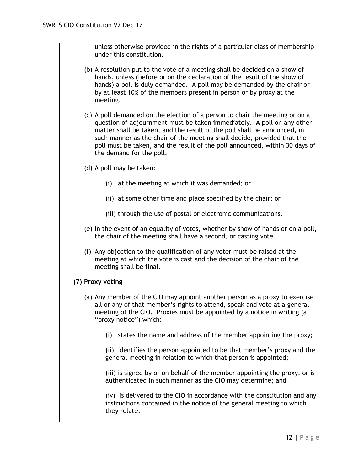unless otherwise provided in the rights of a particular class of membership under this constitution.

- (b) A resolution put to the vote of a meeting shall be decided on a show of hands, unless (before or on the declaration of the result of the show of hands) a poll is duly demanded. A poll may be demanded by the chair or by at least 10% of the members present in person or by proxy at the meeting.
- (c) A poll demanded on the election of a person to chair the meeting or on a question of adjournment must be taken immediately. A poll on any other matter shall be taken, and the result of the poll shall be announced, in such manner as the chair of the meeting shall decide, provided that the poll must be taken, and the result of the poll announced, within 30 days of the demand for the poll.
- (d) A poll may be taken:
	- (i) at the meeting at which it was demanded; or
	- (ii) at some other time and place specified by the chair; or
	- (iii) through the use of postal or electronic communications.
- (e) In the event of an equality of votes, whether by show of hands or on a poll, the chair of the meeting shall have a second, or casting vote.
- (f) Any objection to the qualification of any voter must be raised at the meeting at which the vote is cast and the decision of the chair of the meeting shall be final.

## **(7) Proxy voting**

- (a) Any member of the CIO may appoint another person as a proxy to exercise all or any of that member's rights to attend, speak and vote at a general meeting of the CIO. Proxies must be appointed by a notice in writing (a "proxy notice") which:
	- (i) states the name and address of the member appointing the proxy;

(ii) identifies the person appointed to be that member's proxy and the general meeting in relation to which that person is appointed;

(iii) is signed by or on behalf of the member appointing the proxy, or is authenticated in such manner as the CIO may determine; and

(iv) is delivered to the CIO in accordance with the constitution and any instructions contained in the notice of the general meeting to which they relate.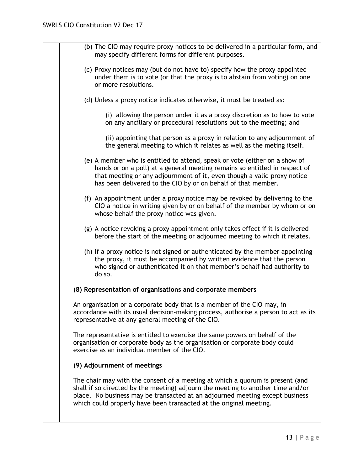| (b) The CIO may require proxy notices to be delivered in a particular form, and<br>may specify different forms for different purposes.                                                                                                                                                                                 |
|------------------------------------------------------------------------------------------------------------------------------------------------------------------------------------------------------------------------------------------------------------------------------------------------------------------------|
| (c) Proxy notices may (but do not have to) specify how the proxy appointed<br>under them is to vote (or that the proxy is to abstain from voting) on one<br>or more resolutions.                                                                                                                                       |
| (d) Unless a proxy notice indicates otherwise, it must be treated as:                                                                                                                                                                                                                                                  |
| (i) allowing the person under it as a proxy discretion as to how to vote<br>on any ancillary or procedural resolutions put to the meeting; and                                                                                                                                                                         |
| (ii) appointing that person as a proxy in relation to any adjournment of<br>the general meeting to which it relates as well as the meting itself.                                                                                                                                                                      |
| (e) A member who is entitled to attend, speak or vote (either on a show of<br>hands or on a poll) at a general meeting remains so entitled in respect of<br>that meeting or any adjournment of it, even though a valid proxy notice<br>has been delivered to the CIO by or on behalf of that member.                   |
| (f) An appointment under a proxy notice may be revoked by delivering to the<br>CIO a notice in writing given by or on behalf of the member by whom or on<br>whose behalf the proxy notice was given.                                                                                                                   |
| (g) A notice revoking a proxy appointment only takes effect if it is delivered<br>before the start of the meeting or adjourned meeting to which it relates.                                                                                                                                                            |
| (h) If a proxy notice is not signed or authenticated by the member appointing<br>the proxy, it must be accompanied by written evidence that the person<br>who signed or authenticated it on that member's behalf had authority to<br>do so.                                                                            |
| (8) Representation of organisations and corporate members                                                                                                                                                                                                                                                              |
| An organisation or a corporate body that is a member of the CIO may, in<br>accordance with its usual decision-making process, authorise a person to act as its<br>representative at any general meeting of the CIO.                                                                                                    |
| The representative is entitled to exercise the same powers on behalf of the<br>organisation or corporate body as the organisation or corporate body could<br>exercise as an individual member of the CIO.                                                                                                              |
| (9) Adjournment of meetings                                                                                                                                                                                                                                                                                            |
| The chair may with the consent of a meeting at which a quorum is present (and<br>shall if so directed by the meeting) adjourn the meeting to another time and/or<br>place. No business may be transacted at an adjourned meeting except business<br>which could properly have been transacted at the original meeting. |
|                                                                                                                                                                                                                                                                                                                        |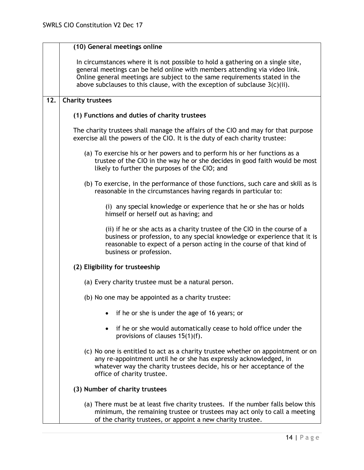|     | (10) General meetings online                                                                                                                                                                                                                                                                                                 |
|-----|------------------------------------------------------------------------------------------------------------------------------------------------------------------------------------------------------------------------------------------------------------------------------------------------------------------------------|
|     | In circumstances where it is not possible to hold a gathering on a single site,<br>general meetings can be held online with members attending via video link.<br>Online general meetings are subject to the same requirements stated in the<br>above subclauses to this clause, with the exception of subclause $3(c)(ii)$ . |
| 12. | <b>Charity trustees</b>                                                                                                                                                                                                                                                                                                      |
|     | (1) Functions and duties of charity trustees                                                                                                                                                                                                                                                                                 |
|     | The charity trustees shall manage the affairs of the CIO and may for that purpose<br>exercise all the powers of the CIO. It is the duty of each charity trustee:                                                                                                                                                             |
|     | (a) To exercise his or her powers and to perform his or her functions as a<br>trustee of the CIO in the way he or she decides in good faith would be most<br>likely to further the purposes of the CIO; and                                                                                                                  |
|     | (b) To exercise, in the performance of those functions, such care and skill as is<br>reasonable in the circumstances having regards in particular to:                                                                                                                                                                        |
|     | (i) any special knowledge or experience that he or she has or holds<br>himself or herself out as having; and                                                                                                                                                                                                                 |
|     | (ii) if he or she acts as a charity trustee of the CIO in the course of a<br>business or profession, to any special knowledge or experience that it is<br>reasonable to expect of a person acting in the course of that kind of<br>business or profession.                                                                   |
|     | (2) Eligibility for trusteeship                                                                                                                                                                                                                                                                                              |
|     | (a) Every charity trustee must be a natural person.                                                                                                                                                                                                                                                                          |
|     | (b) No one may be appointed as a charity trustee:                                                                                                                                                                                                                                                                            |
|     | if he or she is under the age of 16 years; or                                                                                                                                                                                                                                                                                |
|     | if he or she would automatically cease to hold office under the<br>provisions of clauses $15(1)(f)$ .                                                                                                                                                                                                                        |
|     | (c) No one is entitled to act as a charity trustee whether on appointment or on<br>any re-appointment until he or she has expressly acknowledged, in<br>whatever way the charity trustees decide, his or her acceptance of the<br>office of charity trustee.                                                                 |
|     | (3) Number of charity trustees                                                                                                                                                                                                                                                                                               |
|     | (a) There must be at least five charity trustees. If the number falls below this<br>minimum, the remaining trustee or trustees may act only to call a meeting<br>of the charity trustees, or appoint a new charity trustee.                                                                                                  |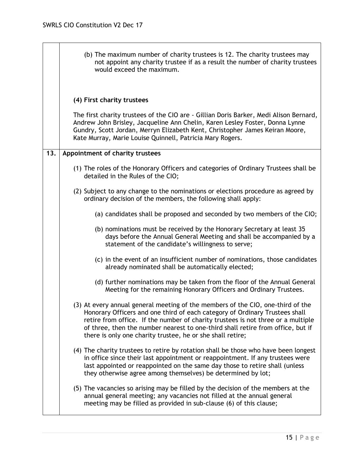|     | (b) The maximum number of charity trustees is 12. The charity trustees may<br>not appoint any charity trustee if as a result the number of charity trustees<br>would exceed the maximum.                                                                                                                                                                                                            |
|-----|-----------------------------------------------------------------------------------------------------------------------------------------------------------------------------------------------------------------------------------------------------------------------------------------------------------------------------------------------------------------------------------------------------|
|     | (4) First charity trustees                                                                                                                                                                                                                                                                                                                                                                          |
|     | The first charity trustees of the CIO are - Gillian Doris Barker, Medi Alison Bernard,<br>Andrew John Brisley, Jacqueline Ann Chelin, Karen Lesley Foster, Donna Lynne<br>Gundry, Scott Jordan, Merryn Elizabeth Kent, Christopher James Keiran Moore,<br>Kate Murray, Marie Louise Quinnell, Patricia Mary Rogers.                                                                                 |
| 13. | Appointment of charity trustees                                                                                                                                                                                                                                                                                                                                                                     |
|     | (1) The roles of the Honorary Officers and categories of Ordinary Trustees shall be<br>detailed in the Rules of the CIO;                                                                                                                                                                                                                                                                            |
|     | (2) Subject to any change to the nominations or elections procedure as agreed by<br>ordinary decision of the members, the following shall apply:                                                                                                                                                                                                                                                    |
|     | (a) candidates shall be proposed and seconded by two members of the CIO;                                                                                                                                                                                                                                                                                                                            |
|     | (b) nominations must be received by the Honorary Secretary at least 35<br>days before the Annual General Meeting and shall be accompanied by a<br>statement of the candidate's willingness to serve;                                                                                                                                                                                                |
|     | (c) in the event of an insufficient number of nominations, those candidates<br>already nominated shall be automatically elected;                                                                                                                                                                                                                                                                    |
|     | (d) further nominations may be taken from the floor of the Annual General<br>Meeting for the remaining Honorary Officers and Ordinary Trustees.                                                                                                                                                                                                                                                     |
|     | (3) At every annual general meeting of the members of the CIO, one-third of the<br>Honorary Officers and one third of each category of Ordinary Trustees shall<br>retire from office. If the number of charity trustees is not three or a multiple<br>of three, then the number nearest to one-third shall retire from office, but if<br>there is only one charity trustee, he or she shall retire; |
|     | (4) The charity trustees to retire by rotation shall be those who have been longest<br>in office since their last appointment or reappointment. If any trustees were<br>last appointed or reappointed on the same day those to retire shall (unless<br>they otherwise agree among themselves) be determined by lot;                                                                                 |
|     | (5) The vacancies so arising may be filled by the decision of the members at the<br>annual general meeting; any vacancies not filled at the annual general<br>meeting may be filled as provided in sub-clause (6) of this clause;                                                                                                                                                                   |

 $\overline{\phantom{a}}$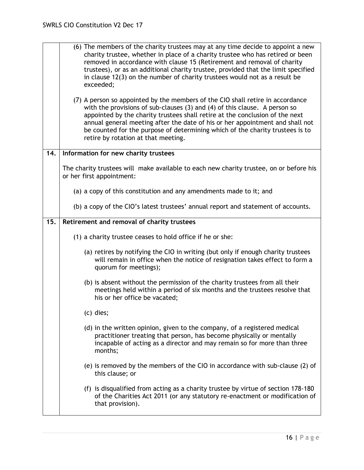|     | (6) The members of the charity trustees may at any time decide to appoint a new<br>charity trustee, whether in place of a charity trustee who has retired or been<br>removed in accordance with clause 15 (Retirement and removal of charity<br>trustees), or as an additional charity trustee, provided that the limit specified<br>in clause 12(3) on the number of charity trustees would not as a result be<br>exceeded;<br>(7) A person so appointed by the members of the CIO shall retire in accordance |
|-----|----------------------------------------------------------------------------------------------------------------------------------------------------------------------------------------------------------------------------------------------------------------------------------------------------------------------------------------------------------------------------------------------------------------------------------------------------------------------------------------------------------------|
|     | with the provisions of sub-clauses (3) and (4) of this clause. A person so<br>appointed by the charity trustees shall retire at the conclusion of the next<br>annual general meeting after the date of his or her appointment and shall not<br>be counted for the purpose of determining which of the charity trustees is to<br>retire by rotation at that meeting.                                                                                                                                            |
| 14. | Information for new charity trustees                                                                                                                                                                                                                                                                                                                                                                                                                                                                           |
|     | The charity trustees will make available to each new charity trustee, on or before his<br>or her first appointment:                                                                                                                                                                                                                                                                                                                                                                                            |
|     | (a) a copy of this constitution and any amendments made to it; and                                                                                                                                                                                                                                                                                                                                                                                                                                             |
|     | (b) a copy of the CIO's latest trustees' annual report and statement of accounts.                                                                                                                                                                                                                                                                                                                                                                                                                              |
| 15. | Retirement and removal of charity trustees                                                                                                                                                                                                                                                                                                                                                                                                                                                                     |
|     | (1) a charity trustee ceases to hold office if he or she:                                                                                                                                                                                                                                                                                                                                                                                                                                                      |
|     | (a) retires by notifying the CIO in writing (but only if enough charity trustees<br>will remain in office when the notice of resignation takes effect to form a<br>quorum for meetings);                                                                                                                                                                                                                                                                                                                       |
|     | (b) is absent without the permission of the charity trustees from all their<br>meetings held within a period of six months and the trustees resolve that<br>his or her office be vacated;                                                                                                                                                                                                                                                                                                                      |
|     | $(c)$ dies;                                                                                                                                                                                                                                                                                                                                                                                                                                                                                                    |
|     | (d) in the written opinion, given to the company, of a registered medical<br>practitioner treating that person, has become physically or mentally<br>incapable of acting as a director and may remain so for more than three<br>months;                                                                                                                                                                                                                                                                        |
|     | (e) is removed by the members of the CIO in accordance with sub-clause (2) of<br>this clause; or                                                                                                                                                                                                                                                                                                                                                                                                               |
|     | (f) is disqualified from acting as a charity trustee by virtue of section 178-180<br>of the Charities Act 2011 (or any statutory re-enactment or modification of<br>that provision).                                                                                                                                                                                                                                                                                                                           |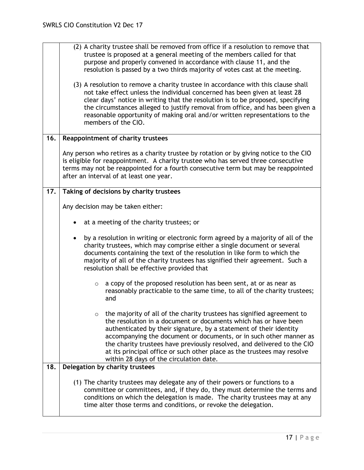|     | (2) A charity trustee shall be removed from office if a resolution to remove that<br>trustee is proposed at a general meeting of the members called for that<br>purpose and properly convened in accordance with clause 11, and the<br>resolution is passed by a two thirds majority of votes cast at the meeting.<br>(3) A resolution to remove a charity trustee in accordance with this clause shall<br>not take effect unless the individual concerned has been given at least 28<br>clear days' notice in writing that the resolution is to be proposed, specifying<br>the circumstances alleged to justify removal from office, and has been given a<br>reasonable opportunity of making oral and/or written representations to the<br>members of the CIO. |
|-----|------------------------------------------------------------------------------------------------------------------------------------------------------------------------------------------------------------------------------------------------------------------------------------------------------------------------------------------------------------------------------------------------------------------------------------------------------------------------------------------------------------------------------------------------------------------------------------------------------------------------------------------------------------------------------------------------------------------------------------------------------------------|
| 16. | Reappointment of charity trustees                                                                                                                                                                                                                                                                                                                                                                                                                                                                                                                                                                                                                                                                                                                                |
|     | Any person who retires as a charity trustee by rotation or by giving notice to the CIO<br>is eligible for reappointment. A charity trustee who has served three consecutive<br>terms may not be reappointed for a fourth consecutive term but may be reappointed<br>after an interval of at least one year.                                                                                                                                                                                                                                                                                                                                                                                                                                                      |
| 17. | Taking of decisions by charity trustees                                                                                                                                                                                                                                                                                                                                                                                                                                                                                                                                                                                                                                                                                                                          |
|     | Any decision may be taken either:                                                                                                                                                                                                                                                                                                                                                                                                                                                                                                                                                                                                                                                                                                                                |
|     |                                                                                                                                                                                                                                                                                                                                                                                                                                                                                                                                                                                                                                                                                                                                                                  |
|     | at a meeting of the charity trustees; or<br>$\bullet$                                                                                                                                                                                                                                                                                                                                                                                                                                                                                                                                                                                                                                                                                                            |
|     | by a resolution in writing or electronic form agreed by a majority of all of the<br>$\bullet$<br>charity trustees, which may comprise either a single document or several<br>documents containing the text of the resolution in like form to which the<br>majority of all of the charity trustees has signified their agreement. Such a<br>resolution shall be effective provided that                                                                                                                                                                                                                                                                                                                                                                           |
|     | a copy of the proposed resolution has been sent, at or as near as<br>$\circ$<br>reasonably practicable to the same time, to all of the charity trustees;<br>and                                                                                                                                                                                                                                                                                                                                                                                                                                                                                                                                                                                                  |
|     | the majority of all of the charity trustees has signified agreement to<br>$\circ$<br>the resolution in a document or documents which has or have been<br>authenticated by their signature, by a statement of their identity<br>accompanying the document or documents, or in such other manner as<br>the charity trustees have previously resolved, and delivered to the CIO<br>at its principal office or such other place as the trustees may resolve<br>within 28 days of the circulation date.                                                                                                                                                                                                                                                               |
| 18. | Delegation by charity trustees                                                                                                                                                                                                                                                                                                                                                                                                                                                                                                                                                                                                                                                                                                                                   |
|     | (1) The charity trustees may delegate any of their powers or functions to a<br>committee or committees, and, if they do, they must determine the terms and<br>conditions on which the delegation is made. The charity trustees may at any<br>time alter those terms and conditions, or revoke the delegation.                                                                                                                                                                                                                                                                                                                                                                                                                                                    |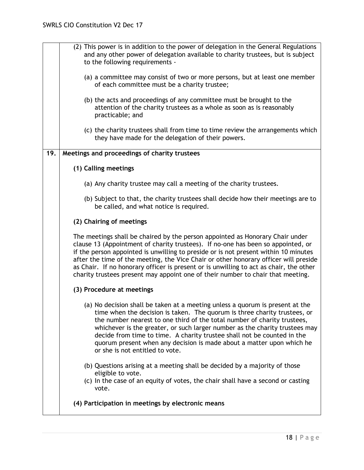|     | (2) This power is in addition to the power of delegation in the General Regulations<br>and any other power of delegation available to charity trustees, but is subject<br>to the following requirements -                                                                                                                                                                                                                                                                                                                     |
|-----|-------------------------------------------------------------------------------------------------------------------------------------------------------------------------------------------------------------------------------------------------------------------------------------------------------------------------------------------------------------------------------------------------------------------------------------------------------------------------------------------------------------------------------|
|     |                                                                                                                                                                                                                                                                                                                                                                                                                                                                                                                               |
|     | (a) a committee may consist of two or more persons, but at least one member<br>of each committee must be a charity trustee;                                                                                                                                                                                                                                                                                                                                                                                                   |
|     | (b) the acts and proceedings of any committee must be brought to the<br>attention of the charity trustees as a whole as soon as is reasonably<br>practicable; and                                                                                                                                                                                                                                                                                                                                                             |
|     | (c) the charity trustees shall from time to time review the arrangements which<br>they have made for the delegation of their powers.                                                                                                                                                                                                                                                                                                                                                                                          |
| 19. | Meetings and proceedings of charity trustees                                                                                                                                                                                                                                                                                                                                                                                                                                                                                  |
|     | (1) Calling meetings                                                                                                                                                                                                                                                                                                                                                                                                                                                                                                          |
|     | (a) Any charity trustee may call a meeting of the charity trustees.                                                                                                                                                                                                                                                                                                                                                                                                                                                           |
|     | (b) Subject to that, the charity trustees shall decide how their meetings are to<br>be called, and what notice is required.                                                                                                                                                                                                                                                                                                                                                                                                   |
|     | (2) Chairing of meetings                                                                                                                                                                                                                                                                                                                                                                                                                                                                                                      |
|     | The meetings shall be chaired by the person appointed as Honorary Chair under<br>clause 13 (Appointment of charity trustees). If no-one has been so appointed, or<br>if the person appointed is unwilling to preside or is not present within 10 minutes<br>after the time of the meeting, the Vice Chair or other honorary officer will preside<br>as Chair. If no honorary officer is present or is unwilling to act as chair, the other<br>charity trustees present may appoint one of their number to chair that meeting. |
|     | (3) Procedure at meetings                                                                                                                                                                                                                                                                                                                                                                                                                                                                                                     |
|     | (a) No decision shall be taken at a meeting unless a quorum is present at the<br>time when the decision is taken. The quorum is three charity trustees, or<br>the number nearest to one third of the total number of charity trustees,<br>whichever is the greater, or such larger number as the charity trustees may<br>decide from time to time. A charity trustee shall not be counted in the<br>quorum present when any decision is made about a matter upon which he<br>or she is not entitled to vote.                  |
|     | (b) Questions arising at a meeting shall be decided by a majority of those                                                                                                                                                                                                                                                                                                                                                                                                                                                    |
|     | eligible to vote.<br>(c) In the case of an equity of votes, the chair shall have a second or casting<br>vote.                                                                                                                                                                                                                                                                                                                                                                                                                 |
|     | (4) Participation in meetings by electronic means                                                                                                                                                                                                                                                                                                                                                                                                                                                                             |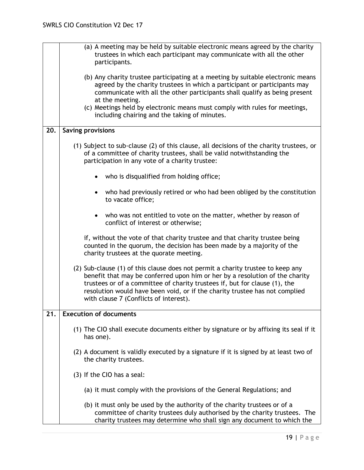|     | (a) A meeting may be held by suitable electronic means agreed by the charity<br>trustees in which each participant may communicate with all the other<br>participants.                                                                                                                                                                                                 |
|-----|------------------------------------------------------------------------------------------------------------------------------------------------------------------------------------------------------------------------------------------------------------------------------------------------------------------------------------------------------------------------|
|     | (b) Any charity trustee participating at a meeting by suitable electronic means<br>agreed by the charity trustees in which a participant or participants may<br>communicate with all the other participants shall qualify as being present<br>at the meeting.                                                                                                          |
|     | (c) Meetings held by electronic means must comply with rules for meetings,<br>including chairing and the taking of minutes.                                                                                                                                                                                                                                            |
| 20. | <b>Saving provisions</b>                                                                                                                                                                                                                                                                                                                                               |
|     | (1) Subject to sub-clause (2) of this clause, all decisions of the charity trustees, or<br>of a committee of charity trustees, shall be valid notwithstanding the<br>participation in any vote of a charity trustee:                                                                                                                                                   |
|     | who is disqualified from holding office;                                                                                                                                                                                                                                                                                                                               |
|     | who had previously retired or who had been obliged by the constitution<br>$\bullet$<br>to vacate office;                                                                                                                                                                                                                                                               |
|     | who was not entitled to vote on the matter, whether by reason of<br>$\bullet$<br>conflict of interest or otherwise;                                                                                                                                                                                                                                                    |
|     | if, without the vote of that charity trustee and that charity trustee being<br>counted in the quorum, the decision has been made by a majority of the<br>charity trustees at the quorate meeting.                                                                                                                                                                      |
|     | (2) Sub-clause (1) of this clause does not permit a charity trustee to keep any<br>benefit that may be conferred upon him or her by a resolution of the charity<br>trustees or of a committee of charity trustees if, but for clause (1), the<br>resolution would have been void, or if the charity trustee has not complied<br>with clause 7 (Conflicts of interest). |
| 21. | <b>Execution of documents</b>                                                                                                                                                                                                                                                                                                                                          |
|     | (1) The CIO shall execute documents either by signature or by affixing its seal if it<br>has one).                                                                                                                                                                                                                                                                     |
|     | (2) A document is validly executed by a signature if it is signed by at least two of<br>the charity trustees.                                                                                                                                                                                                                                                          |
|     | (3) If the CIO has a seal:                                                                                                                                                                                                                                                                                                                                             |
|     | (a) it must comply with the provisions of the General Regulations; and                                                                                                                                                                                                                                                                                                 |
|     | (b) it must only be used by the authority of the charity trustees or of a<br>committee of charity trustees duly authorised by the charity trustees. The<br>charity trustees may determine who shall sign any document to which the                                                                                                                                     |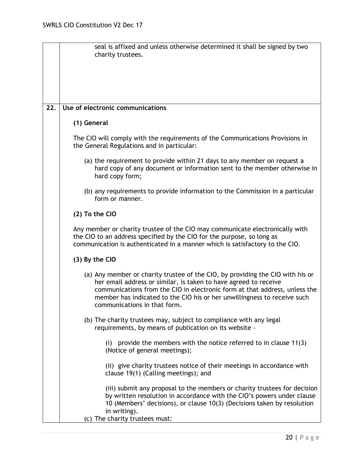|     | seal is affixed and unless otherwise determined it shall be signed by two<br>charity trustees.                                                                                                                                                                                                                                               |
|-----|----------------------------------------------------------------------------------------------------------------------------------------------------------------------------------------------------------------------------------------------------------------------------------------------------------------------------------------------|
|     |                                                                                                                                                                                                                                                                                                                                              |
|     |                                                                                                                                                                                                                                                                                                                                              |
| 22. | Use of electronic communications                                                                                                                                                                                                                                                                                                             |
|     | (1) General                                                                                                                                                                                                                                                                                                                                  |
|     | The CIO will comply with the requirements of the Communications Provisions in<br>the General Regulations and in particular:                                                                                                                                                                                                                  |
|     | (a) the requirement to provide within 21 days to any member on request a<br>hard copy of any document or information sent to the member otherwise in<br>hard copy form;                                                                                                                                                                      |
|     | (b) any requirements to provide information to the Commission in a particular<br>form or manner.                                                                                                                                                                                                                                             |
|     | (2) To the CIO                                                                                                                                                                                                                                                                                                                               |
|     | Any member or charity trustee of the CIO may communicate electronically with<br>the CIO to an address specified by the CIO for the purpose, so long as<br>communication is authenticated in a manner which is satisfactory to the CIO.                                                                                                       |
|     | (3) By the CIO                                                                                                                                                                                                                                                                                                                               |
|     | (a) Any member or charity trustee of the CIO, by providing the CIO with his or<br>her email address or similar, is taken to have agreed to receive<br>communications from the CIO in electronic form at that address, unless the<br>member has indicated to the CIO his or her unwillingness to receive such<br>communications in that form. |
|     | (b) The charity trustees may, subject to compliance with any legal<br>requirements, by means of publication on its website -                                                                                                                                                                                                                 |
|     | (i) provide the members with the notice referred to in clause $11(3)$<br>(Notice of general meetings);                                                                                                                                                                                                                                       |
|     | (ii) give charity trustees notice of their meetings in accordance with<br>clause 19(1) (Calling meetings); and                                                                                                                                                                                                                               |
|     | (iii) submit any proposal to the members or charity trustees for decision<br>by written resolution in accordance with the CIO's powers under clause<br>10 (Members' decisions), or clause 10(3) (Decisions taken by resolution<br>in writing).<br>(c) The charity trustees must:                                                             |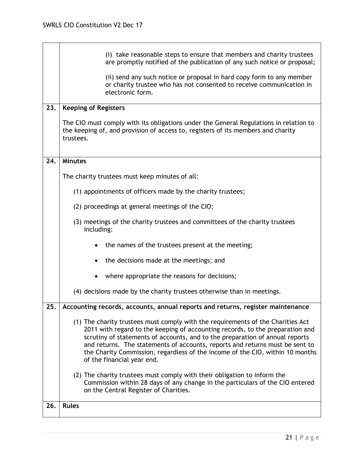|     | (i) take reasonable steps to ensure that members and charity trustees<br>are promptly notified of the publication of any such notice or proposal;<br>(ii) send any such notice or proposal in hard copy form to any member<br>or charity trustee who has not consented to receive communication in<br>electronic form.                                                                                                                          |
|-----|-------------------------------------------------------------------------------------------------------------------------------------------------------------------------------------------------------------------------------------------------------------------------------------------------------------------------------------------------------------------------------------------------------------------------------------------------|
| 23. | <b>Keeping of Registers</b>                                                                                                                                                                                                                                                                                                                                                                                                                     |
|     | The CIO must comply with its obligations under the General Regulations in relation to<br>the keeping of, and provision of access to, registers of its members and charity<br>trustees.                                                                                                                                                                                                                                                          |
| 24. | <b>Minutes</b>                                                                                                                                                                                                                                                                                                                                                                                                                                  |
|     | The charity trustees must keep minutes of all:                                                                                                                                                                                                                                                                                                                                                                                                  |
|     | (1) appointments of officers made by the charity trustees;                                                                                                                                                                                                                                                                                                                                                                                      |
|     | (2) proceedings at general meetings of the CIO;                                                                                                                                                                                                                                                                                                                                                                                                 |
|     | (3) meetings of the charity trustees and committees of the charity trustees<br>including:                                                                                                                                                                                                                                                                                                                                                       |
|     | the names of the trustees present at the meeting;                                                                                                                                                                                                                                                                                                                                                                                               |
|     | the decisions made at the meetings; and                                                                                                                                                                                                                                                                                                                                                                                                         |
|     | where appropriate the reasons for decisions;                                                                                                                                                                                                                                                                                                                                                                                                    |
|     | (4) decisions made by the charity trustees otherwise than in meetings.                                                                                                                                                                                                                                                                                                                                                                          |
| 25. | Accounting records, accounts, annual reports and returns, register maintenance                                                                                                                                                                                                                                                                                                                                                                  |
|     | (1) The charity trustees must comply with the requirements of the Charities Act<br>2011 with regard to the keeping of accounting records, to the preparation and<br>scrutiny of statements of accounts, and to the preparation of annual reports<br>and returns. The statements of accounts, reports and returns must be sent to<br>the Charity Commission, regardless of the income of the CIO, within 10 months<br>of the financial year end. |
|     | (2) The charity trustees must comply with their obligation to inform the<br>Commission within 28 days of any change in the particulars of the CIO entered<br>on the Central Register of Charities.                                                                                                                                                                                                                                              |
| 26. | <b>Rules</b>                                                                                                                                                                                                                                                                                                                                                                                                                                    |

<u> 1980 - Johann Stoff, deutscher Stoffen und der Stoffen und der Stoffen und der Stoffen und der Stoffen und de</u>

 $\overline{\phantom{a}}$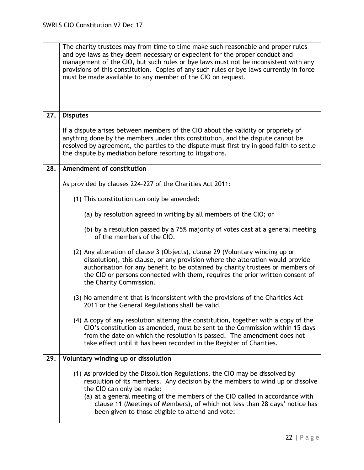|     | The charity trustees may from time to time make such reasonable and proper rules<br>and bye laws as they deem necessary or expedient for the proper conduct and<br>management of the CIO, but such rules or bye laws must not be inconsistent with any<br>provisions of this constitution. Copies of any such rules or bye laws currently in force<br>must be made available to any member of the CIO on request. |
|-----|-------------------------------------------------------------------------------------------------------------------------------------------------------------------------------------------------------------------------------------------------------------------------------------------------------------------------------------------------------------------------------------------------------------------|
| 27. | <b>Disputes</b>                                                                                                                                                                                                                                                                                                                                                                                                   |
|     | If a dispute arises between members of the CIO about the validity or propriety of<br>anything done by the members under this constitution, and the dispute cannot be<br>resolved by agreement, the parties to the dispute must first try in good faith to settle<br>the dispute by mediation before resorting to litigations.                                                                                     |
| 28. | Amendment of constitution                                                                                                                                                                                                                                                                                                                                                                                         |
|     | As provided by clauses 224-227 of the Charities Act 2011:                                                                                                                                                                                                                                                                                                                                                         |
|     | (1) This constitution can only be amended:                                                                                                                                                                                                                                                                                                                                                                        |
|     | (a) by resolution agreed in writing by all members of the CIO; or                                                                                                                                                                                                                                                                                                                                                 |
|     | (b) by a resolution passed by a 75% majority of votes cast at a general meeting<br>of the members of the CIO.                                                                                                                                                                                                                                                                                                     |
|     | (2) Any alteration of clause 3 (Objects), clause 29 (Voluntary winding up or<br>dissolution), this clause, or any provision where the alteration would provide<br>authorisation for any benefit to be obtained by charity trustees or members of<br>the CIO or persons connected with them, requires the prior written consent of<br>the Charity Commission.                                                      |
|     | (3) No amendment that is inconsistent with the provisions of the Charities Act<br>2011 or the General Regulations shall be valid.                                                                                                                                                                                                                                                                                 |
|     | (4) A copy of any resolution altering the constitution, together with a copy of the<br>CIO's constitution as amended, must be sent to the Commission within 15 days<br>from the date on which the resolution is passed. The amendment does not<br>take effect until it has been recorded in the Register of Charities.                                                                                            |
| 29. | Voluntary winding up or dissolution                                                                                                                                                                                                                                                                                                                                                                               |
|     | (1) As provided by the Dissolution Regulations, the CIO may be dissolved by<br>resolution of its members. Any decision by the members to wind up or dissolve<br>the CIO can only be made:<br>(a) at a general meeting of the members of the CIO called in accordance with<br>clause 11 (Meetings of Members), of which not less than 28 days' notice has<br>been given to those eligible to attend and vote:      |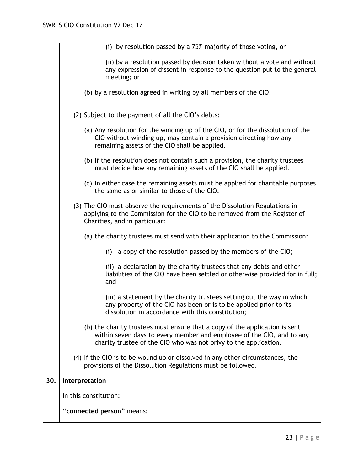|     | (i) by resolution passed by a 75% majority of those voting, or                                                                                                                                                           |
|-----|--------------------------------------------------------------------------------------------------------------------------------------------------------------------------------------------------------------------------|
|     | (ii) by a resolution passed by decision taken without a vote and without<br>any expression of dissent in response to the question put to the general<br>meeting; or                                                      |
|     | (b) by a resolution agreed in writing by all members of the CIO.                                                                                                                                                         |
|     | (2) Subject to the payment of all the CIO's debts:                                                                                                                                                                       |
|     | (a) Any resolution for the winding up of the CIO, or for the dissolution of the<br>CIO without winding up, may contain a provision directing how any<br>remaining assets of the CIO shall be applied.                    |
|     | (b) If the resolution does not contain such a provision, the charity trustees<br>must decide how any remaining assets of the CIO shall be applied.                                                                       |
|     | (c) In either case the remaining assets must be applied for charitable purposes<br>the same as or similar to those of the CIO.                                                                                           |
|     | (3) The CIO must observe the requirements of the Dissolution Regulations in<br>applying to the Commission for the CIO to be removed from the Register of<br>Charities, and in particular:                                |
|     | (a) the charity trustees must send with their application to the Commission:                                                                                                                                             |
|     | (i) a copy of the resolution passed by the members of the CIO;                                                                                                                                                           |
|     | (ii) a declaration by the charity trustees that any debts and other<br>liabilities of the CIO have been settled or otherwise provided for in full;<br>and                                                                |
|     | (iii) a statement by the charity trustees setting out the way in which<br>any property of the CIO has been or is to be applied prior to its<br>dissolution in accordance with this constitution;                         |
|     | (b) the charity trustees must ensure that a copy of the application is sent<br>within seven days to every member and employee of the CIO, and to any<br>charity trustee of the CIO who was not privy to the application. |
|     | (4) If the CIO is to be wound up or dissolved in any other circumstances, the<br>provisions of the Dissolution Regulations must be followed.                                                                             |
| 30. | Interpretation                                                                                                                                                                                                           |
|     | In this constitution:                                                                                                                                                                                                    |
|     | "connected person" means:                                                                                                                                                                                                |